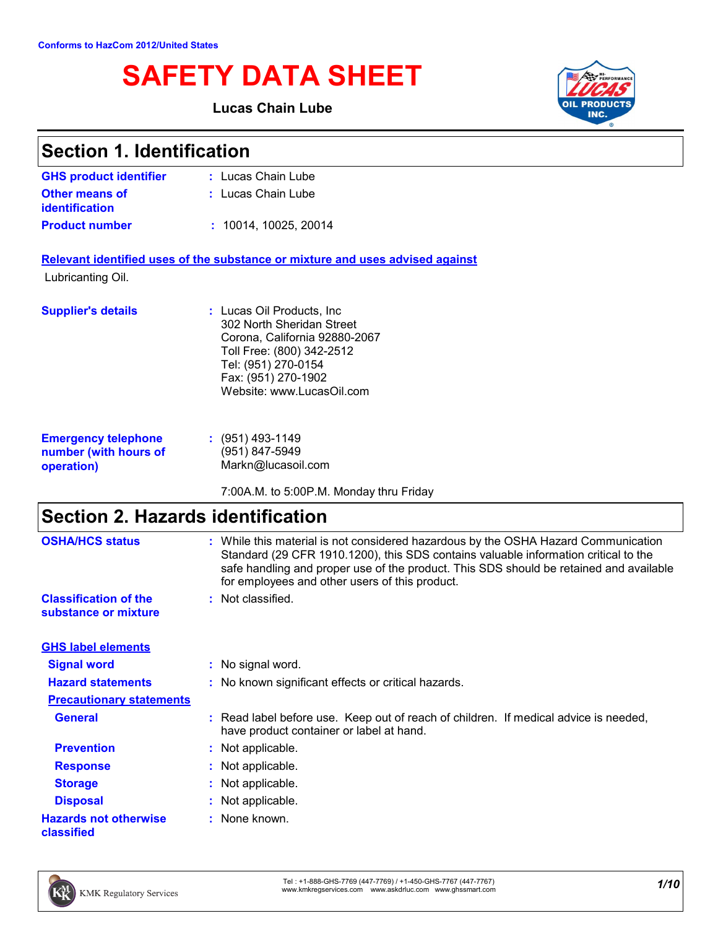# **SAFETY DATA SHEET**

### **Lucas Chain Lube**



| <b>Section 1. Identification</b>                                  |                                                                                                                                                                                                                                                                                                                       |  |
|-------------------------------------------------------------------|-----------------------------------------------------------------------------------------------------------------------------------------------------------------------------------------------------------------------------------------------------------------------------------------------------------------------|--|
| <b>GHS product identifier</b>                                     | : Lucas Chain Lube                                                                                                                                                                                                                                                                                                    |  |
| <b>Other means of</b><br>identification                           | : Lucas Chain Lube                                                                                                                                                                                                                                                                                                    |  |
| <b>Product number</b>                                             | : 10014, 10025, 20014                                                                                                                                                                                                                                                                                                 |  |
| Lubricanting Oil.                                                 | Relevant identified uses of the substance or mixture and uses advised against                                                                                                                                                                                                                                         |  |
| <b>Supplier's details</b>                                         | : Lucas Oil Products, Inc.<br>302 North Sheridan Street<br>Corona, California 92880-2067<br>Toll Free: (800) 342-2512<br>Tel: (951) 270-0154<br>Fax: (951) 270-1902<br>Website: www.LucasOil.com                                                                                                                      |  |
| <b>Emergency telephone</b><br>number (with hours of<br>operation) | $: (951)$ 493-1149<br>(951) 847-5949<br>Markn@lucasoil.com                                                                                                                                                                                                                                                            |  |
|                                                                   | 7:00A.M. to 5:00P.M. Monday thru Friday                                                                                                                                                                                                                                                                               |  |
| <b>Section 2. Hazards identification</b>                          |                                                                                                                                                                                                                                                                                                                       |  |
| <b>OSHA/HCS status</b>                                            | : While this material is not considered hazardous by the OSHA Hazard Communication<br>Standard (29 CFR 1910.1200), this SDS contains valuable information critical to the<br>safe handling and proper use of the product. This SDS should be retained and available<br>for employees and other users of this product. |  |
| <b>Classification of the</b><br>substance or mixture              | : Not classified.                                                                                                                                                                                                                                                                                                     |  |
| <b>GHS label elements</b>                                         |                                                                                                                                                                                                                                                                                                                       |  |
| <b>Signal word</b>                                                | : No signal word                                                                                                                                                                                                                                                                                                      |  |
| <b>Hazard statements</b>                                          | : No known significant effects or critical hazards.                                                                                                                                                                                                                                                                   |  |
| <b>Precautionary statements</b>                                   |                                                                                                                                                                                                                                                                                                                       |  |
| <b>General</b>                                                    | : Read label before use. Keep out of reach of children. If medical advice is needed,<br>have product container or label at hand.                                                                                                                                                                                      |  |
| <b>Prevention</b>                                                 | : Not applicable.                                                                                                                                                                                                                                                                                                     |  |
| <b>Response</b>                                                   | Not applicable.                                                                                                                                                                                                                                                                                                       |  |
| <b>Storage</b>                                                    | Not applicable.                                                                                                                                                                                                                                                                                                       |  |
| <b>Disposal</b>                                                   | : Not applicable.                                                                                                                                                                                                                                                                                                     |  |

**Hazards not otherwise :** None known.



**classified**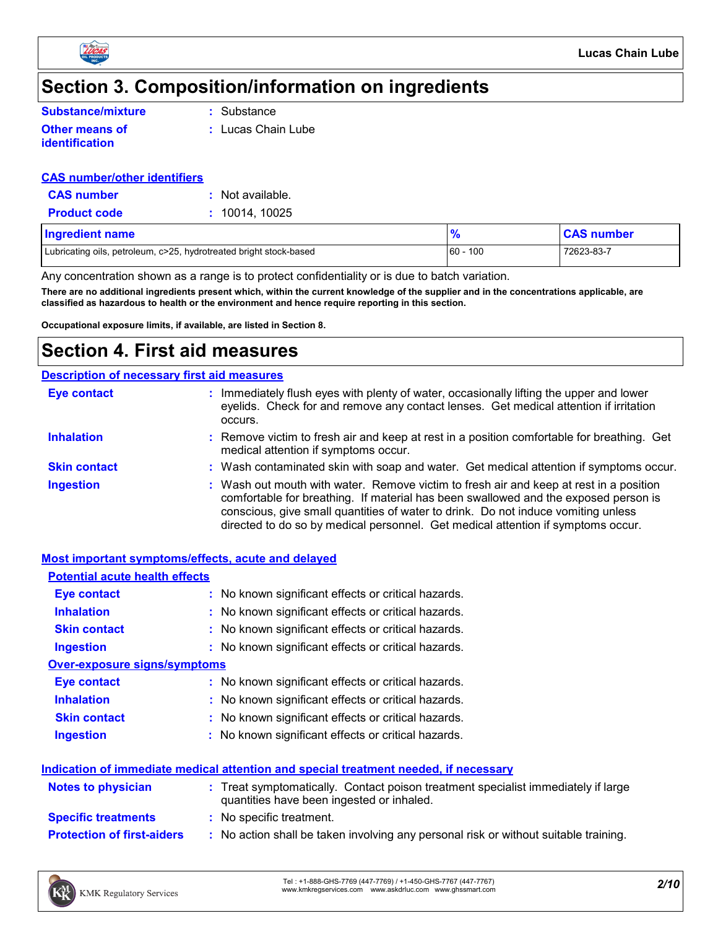

## **Section 3. Composition/information on ingredients**

**:** Substance

- **Other means of identification**
- 
- 
- **:** Lucas Chain Lube

### **CAS number/other identifiers**

| <b>CAS number</b>   | : Not available. |
|---------------------|------------------|
| <b>Product code</b> | : 10014, 10025   |

| <b>Ingredient name</b>                                             |             | <b>CAS number</b> |
|--------------------------------------------------------------------|-------------|-------------------|
| Lubricating oils, petroleum, c>25, hydrotreated bright stock-based | $160 - 100$ | 72623-83-7        |

Any concentration shown as a range is to protect confidentiality or is due to batch variation.

**There are no additional ingredients present which, within the current knowledge of the supplier and in the concentrations applicable, are classified as hazardous to health or the environment and hence require reporting in this section.**

**Occupational exposure limits, if available, are listed in Section 8.**

### **Section 4. First aid measures**

### **Description of necessary first aid measures**

| <b>Eye contact</b>  | : Immediately flush eyes with plenty of water, occasionally lifting the upper and lower<br>eyelids. Check for and remove any contact lenses. Get medical attention if irritation<br>occurs.                                                                                                                                                            |
|---------------------|--------------------------------------------------------------------------------------------------------------------------------------------------------------------------------------------------------------------------------------------------------------------------------------------------------------------------------------------------------|
| <b>Inhalation</b>   | : Remove victim to fresh air and keep at rest in a position comfortable for breathing. Get<br>medical attention if symptoms occur.                                                                                                                                                                                                                     |
| <b>Skin contact</b> | : Wash contaminated skin with soap and water. Get medical attention if symptoms occur.                                                                                                                                                                                                                                                                 |
| <b>Ingestion</b>    | : Wash out mouth with water. Remove victim to fresh air and keep at rest in a position<br>comfortable for breathing. If material has been swallowed and the exposed person is<br>conscious, give small quantities of water to drink. Do not induce vomiting unless<br>directed to do so by medical personnel. Get medical attention if symptoms occur. |

#### **Most important symptoms/effects, acute and delayed**

| <b>Potential acute health effects</b>                                                       |                                                                                   |  |
|---------------------------------------------------------------------------------------------|-----------------------------------------------------------------------------------|--|
| <b>Eye contact</b>                                                                          | : No known significant effects or critical hazards.                               |  |
| <b>Inhalation</b>                                                                           | : No known significant effects or critical hazards.                               |  |
| <b>Skin contact</b>                                                                         | : No known significant effects or critical hazards.                               |  |
| <b>Ingestion</b>                                                                            | : No known significant effects or critical hazards.                               |  |
| <b>Over-exposure signs/symptoms</b>                                                         |                                                                                   |  |
| Eye contact                                                                                 | : No known significant effects or critical hazards.                               |  |
| <b>Inhalation</b>                                                                           | : No known significant effects or critical hazards.                               |  |
| <b>Skin contact</b>                                                                         | : No known significant effects or critical hazards.                               |  |
| <b>Ingestion</b>                                                                            | : No known significant effects or critical hazards.                               |  |
| <u>Indication of immediate medical attention and special treatment needed, if necessary</u> |                                                                                   |  |
| <b>Notes to physician</b>                                                                   | : Treat symptomatically. Contact poison treatment specialist immediately if large |  |

|                                   | quantities have been ingested or inhaled.                                          |
|-----------------------------------|------------------------------------------------------------------------------------|
| <b>Specific treatments</b>        | : No specific treatment.                                                           |
| <b>Protection of first-aiders</b> | No action shall be taken involving any personal risk or without suitable training. |

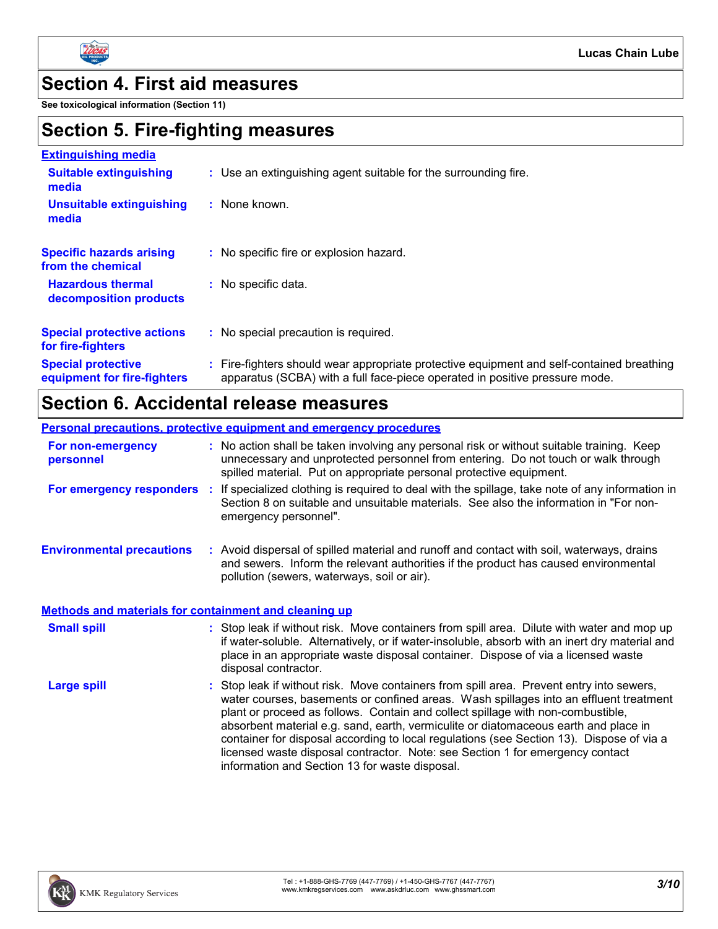

### **Section 4. First aid measures**

**See toxicological information (Section 11)**

## **Section 5. Fire-fighting measures**

| <b>Extinguishing media</b>                               |                                                                                                                                                                        |
|----------------------------------------------------------|------------------------------------------------------------------------------------------------------------------------------------------------------------------------|
| <b>Suitable extinguishing</b><br>media                   | : Use an extinguishing agent suitable for the surrounding fire.                                                                                                        |
| <b>Unsuitable extinguishing</b><br>media                 | $:$ None known.                                                                                                                                                        |
| <b>Specific hazards arising</b><br>from the chemical     | : No specific fire or explosion hazard.                                                                                                                                |
| <b>Hazardous thermal</b><br>decomposition products       | No specific data.                                                                                                                                                      |
| <b>Special protective actions</b><br>for fire-fighters   | : No special precaution is required.                                                                                                                                   |
| <b>Special protective</b><br>equipment for fire-fighters | Fire-fighters should wear appropriate protective equipment and self-contained breathing<br>apparatus (SCBA) with a full face-piece operated in positive pressure mode. |

## **Section 6. Accidental release measures**

| <b>Personal precautions, protective equipment and emergency procedures</b> |                                                                                                                                                                                                                                                                                                                                                                                                                                                                                                                                                                                          |  |  |
|----------------------------------------------------------------------------|------------------------------------------------------------------------------------------------------------------------------------------------------------------------------------------------------------------------------------------------------------------------------------------------------------------------------------------------------------------------------------------------------------------------------------------------------------------------------------------------------------------------------------------------------------------------------------------|--|--|
| For non-emergency<br>personnel                                             | : No action shall be taken involving any personal risk or without suitable training. Keep<br>unnecessary and unprotected personnel from entering. Do not touch or walk through<br>spilled material. Put on appropriate personal protective equipment.                                                                                                                                                                                                                                                                                                                                    |  |  |
| For emergency responders :                                                 | If specialized clothing is required to deal with the spillage, take note of any information in<br>Section 8 on suitable and unsuitable materials. See also the information in "For non-<br>emergency personnel".                                                                                                                                                                                                                                                                                                                                                                         |  |  |
| <b>Environmental precautions</b>                                           | : Avoid dispersal of spilled material and runoff and contact with soil, waterways, drains<br>and sewers. Inform the relevant authorities if the product has caused environmental<br>pollution (sewers, waterways, soil or air).                                                                                                                                                                                                                                                                                                                                                          |  |  |
| <b>Methods and materials for containment and cleaning up</b>               |                                                                                                                                                                                                                                                                                                                                                                                                                                                                                                                                                                                          |  |  |
| <b>Small spill</b>                                                         | : Stop leak if without risk. Move containers from spill area. Dilute with water and mop up<br>if water-soluble. Alternatively, or if water-insoluble, absorb with an inert dry material and<br>place in an appropriate waste disposal container. Dispose of via a licensed waste<br>disposal contractor.                                                                                                                                                                                                                                                                                 |  |  |
| <b>Large spill</b>                                                         | Stop leak if without risk. Move containers from spill area. Prevent entry into sewers,<br>water courses, basements or confined areas. Wash spillages into an effluent treatment<br>plant or proceed as follows. Contain and collect spillage with non-combustible,<br>absorbent material e.g. sand, earth, vermiculite or diatomaceous earth and place in<br>container for disposal according to local regulations (see Section 13). Dispose of via a<br>licensed waste disposal contractor. Note: see Section 1 for emergency contact<br>information and Section 13 for waste disposal. |  |  |

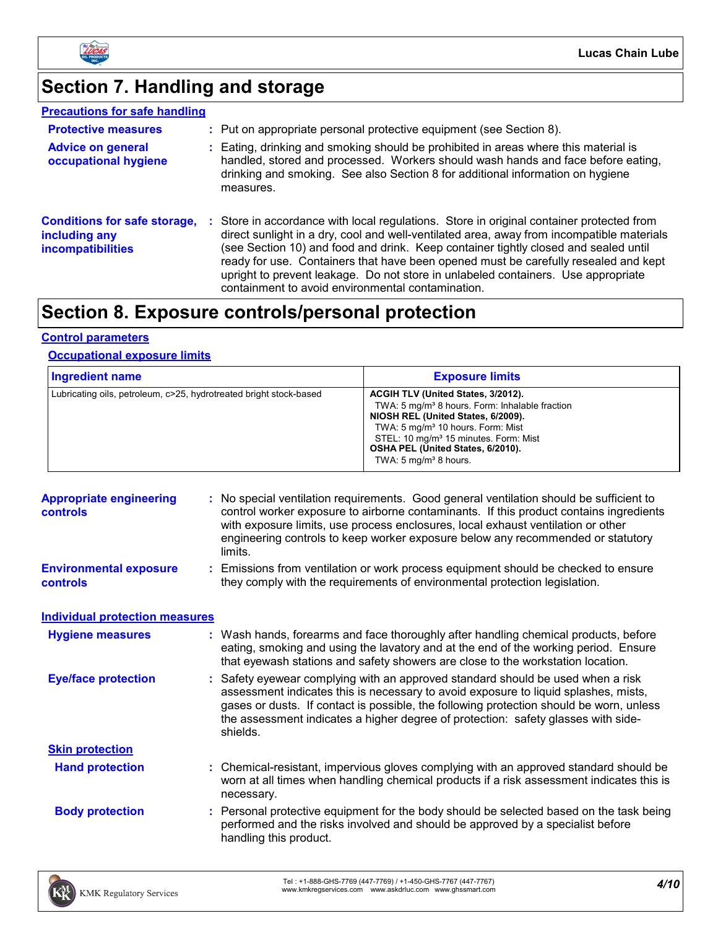

# **Section 7. Handling and storage**

| <b>Precautions for safe handling</b>                                             |                                                                                                                                                                                                                                                                                                                                                                                                                                                                                                             |
|----------------------------------------------------------------------------------|-------------------------------------------------------------------------------------------------------------------------------------------------------------------------------------------------------------------------------------------------------------------------------------------------------------------------------------------------------------------------------------------------------------------------------------------------------------------------------------------------------------|
| <b>Protective measures</b>                                                       | : Put on appropriate personal protective equipment (see Section 8).                                                                                                                                                                                                                                                                                                                                                                                                                                         |
| <b>Advice on general</b><br>occupational hygiene                                 | Eating, drinking and smoking should be prohibited in areas where this material is<br>handled, stored and processed. Workers should wash hands and face before eating,<br>drinking and smoking. See also Section 8 for additional information on hygiene<br>measures.                                                                                                                                                                                                                                        |
| <b>Conditions for safe storage,</b><br>including any<br><b>incompatibilities</b> | Store in accordance with local regulations. Store in original container protected from<br>direct sunlight in a dry, cool and well-ventilated area, away from incompatible materials<br>(see Section 10) and food and drink. Keep container tightly closed and sealed until<br>ready for use. Containers that have been opened must be carefully resealed and kept<br>upright to prevent leakage. Do not store in unlabeled containers. Use appropriate<br>containment to avoid environmental contamination. |

## **Section 8. Exposure controls/personal protection**

#### **Control parameters**

#### **Occupational exposure limits**

| <b>Ingredient name</b>                                             | <b>Exposure limits</b>                                                                                                                                                                                                                                                                                                |
|--------------------------------------------------------------------|-----------------------------------------------------------------------------------------------------------------------------------------------------------------------------------------------------------------------------------------------------------------------------------------------------------------------|
| Lubricating oils, petroleum, c>25, hydrotreated bright stock-based | ACGIH TLV (United States, 3/2012).<br>TWA: 5 mg/m <sup>3</sup> 8 hours. Form: Inhalable fraction<br>NIOSH REL (United States, 6/2009).<br>TWA: 5 mg/m <sup>3</sup> 10 hours. Form: Mist<br>STEL: 10 mg/m <sup>3</sup> 15 minutes. Form: Mist<br>OSHA PEL (United States, 6/2010).<br>TWA: $5 \text{ mg/m}^3$ 8 hours. |

| <b>Appropriate engineering</b><br><b>controls</b> | : No special ventilation requirements. Good general ventilation should be sufficient to<br>control worker exposure to airborne contaminants. If this product contains ingredients<br>with exposure limits, use process enclosures, local exhaust ventilation or other<br>engineering controls to keep worker exposure below any recommended or statutory<br>limits. |
|---------------------------------------------------|---------------------------------------------------------------------------------------------------------------------------------------------------------------------------------------------------------------------------------------------------------------------------------------------------------------------------------------------------------------------|
| <b>Environmental exposure</b><br><b>controls</b>  | : Emissions from ventilation or work process equipment should be checked to ensure<br>they comply with the requirements of environmental protection legislation.                                                                                                                                                                                                    |
| <b>Individual protection measures</b>             |                                                                                                                                                                                                                                                                                                                                                                     |
| <b>Hygiene measures</b>                           | : Wash hands, forearms and face thoroughly after handling chemical products, before<br>eating, smoking and using the lavatory and at the end of the working period. Ensure<br>that eyewash stations and safety showers are close to the workstation location.                                                                                                       |
| <b>Eye/face protection</b>                        | : Safety eyewear complying with an approved standard should be used when a risk<br>assessment indicates this is necessary to avoid exposure to liquid splashes, mists,<br>gases or dusts. If contact is possible, the following protection should be worn, unless<br>the assessment indicates a higher degree of protection: safety glasses with side-<br>shields.  |
| <b>Skin protection</b>                            |                                                                                                                                                                                                                                                                                                                                                                     |
| <b>Hand protection</b>                            | : Chemical-resistant, impervious gloves complying with an approved standard should be<br>worn at all times when handling chemical products if a risk assessment indicates this is<br>necessary.                                                                                                                                                                     |
| <b>Body protection</b>                            | : Personal protective equipment for the body should be selected based on the task being<br>performed and the risks involved and should be approved by a specialist before<br>handling this product.                                                                                                                                                                 |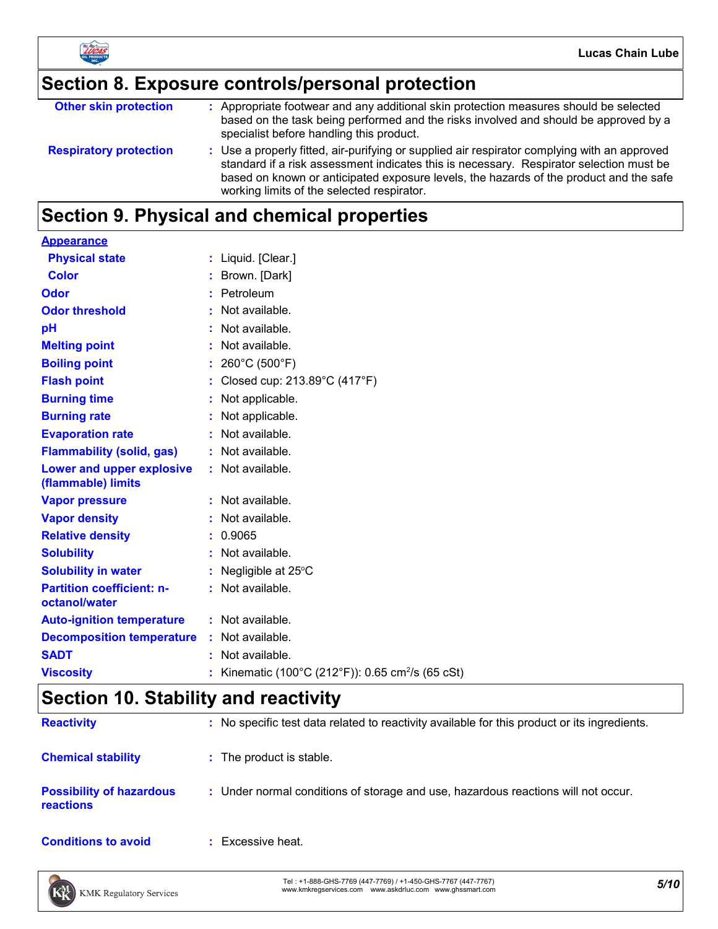

# **Section 8. Exposure controls/personal protection**

| <b>Other skin protection</b>  | : Appropriate footwear and any additional skin protection measures should be selected<br>based on the task being performed and the risks involved and should be approved by a<br>specialist before handling this product.                                                                                                       |
|-------------------------------|---------------------------------------------------------------------------------------------------------------------------------------------------------------------------------------------------------------------------------------------------------------------------------------------------------------------------------|
| <b>Respiratory protection</b> | : Use a properly fitted, air-purifying or supplied air respirator complying with an approved<br>standard if a risk assessment indicates this is necessary. Respirator selection must be<br>based on known or anticipated exposure levels, the hazards of the product and the safe<br>working limits of the selected respirator. |

## **Section 9. Physical and chemical properties**

| <b>Appearance</b>                                 |                                                             |
|---------------------------------------------------|-------------------------------------------------------------|
| <b>Physical state</b>                             | : Liquid. [Clear.]                                          |
| <b>Color</b>                                      | : Brown. [Dark]                                             |
| Odor                                              | : Petroleum                                                 |
| <b>Odor threshold</b>                             | Not available.                                              |
| pH                                                | : Not available.                                            |
| <b>Melting point</b>                              | : Not available.                                            |
| <b>Boiling point</b>                              | : $260^{\circ}$ C (500 $^{\circ}$ F)                        |
| <b>Flash point</b>                                | : Closed cup: $213.89^{\circ}$ C (417 $^{\circ}$ F)         |
| <b>Burning time</b>                               | : Not applicable.                                           |
| <b>Burning rate</b>                               | : Not applicable.                                           |
| <b>Evaporation rate</b>                           | : Not available.                                            |
| <b>Flammability (solid, gas)</b>                  | : Not available.                                            |
| Lower and upper explosive<br>(flammable) limits   | : Not available.                                            |
| <b>Vapor pressure</b>                             | : Not available.                                            |
| <b>Vapor density</b>                              | : Not available.                                            |
| <b>Relative density</b>                           | : 0.9065                                                    |
| <b>Solubility</b>                                 | : Not available.                                            |
| <b>Solubility in water</b>                        | : Negligible at 25°C                                        |
| <b>Partition coefficient: n-</b><br>octanol/water | : Not available.                                            |
| <b>Auto-ignition temperature</b>                  | : Not available.                                            |
| <b>Decomposition temperature</b>                  | : Not available.                                            |
| <b>SADT</b>                                       | : Not available.                                            |
| <b>Viscosity</b>                                  | Kinematic (100°C (212°F)): 0.65 cm <sup>2</sup> /s (65 cSt) |

## **Section 10. Stability and reactivity**

| <b>Reactivity</b>                            | : No specific test data related to reactivity available for this product or its ingredients. |
|----------------------------------------------|----------------------------------------------------------------------------------------------|
| <b>Chemical stability</b>                    | : The product is stable.                                                                     |
| <b>Possibility of hazardous</b><br>reactions | : Under normal conditions of storage and use, hazardous reactions will not occur.            |
| <b>Conditions to avoid</b>                   | Excessive heat.                                                                              |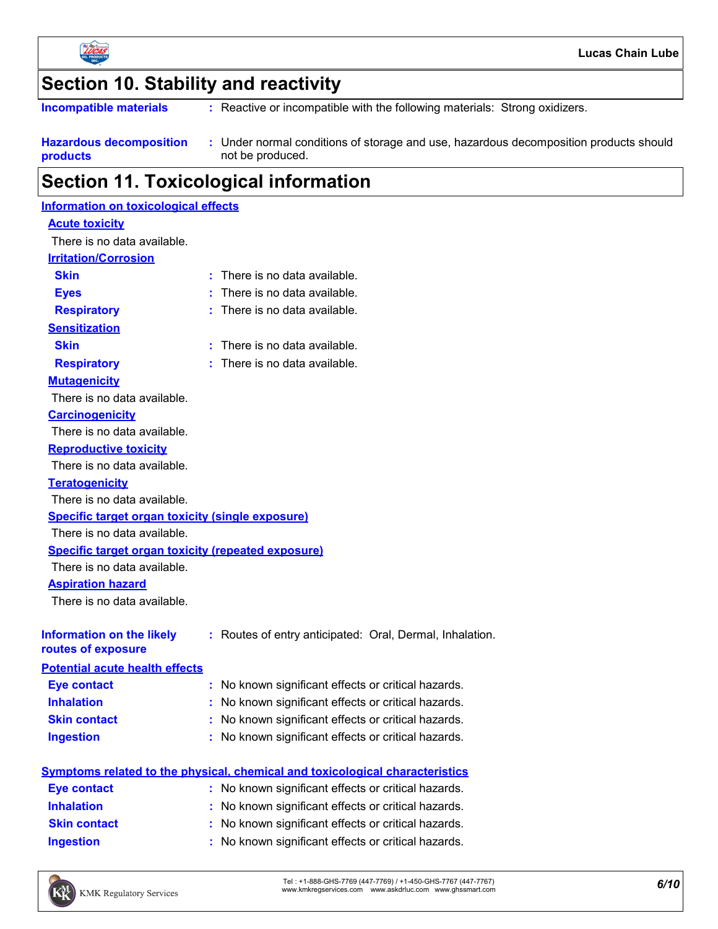

## **Section 10. Stability and reactivity**

: Reactive or incompatible with the following materials: Strong oxidizers. **Incompatible materials :**

| <b>Hazardous decomposition</b> | Under normal conditions of storage and use, hazardous decomposition products should |
|--------------------------------|-------------------------------------------------------------------------------------|
| products                       | not be produced.                                                                    |

## **Section 11. Toxicological information**

| Information on toxicological effects                      |                                                                                     |
|-----------------------------------------------------------|-------------------------------------------------------------------------------------|
| <b>Acute toxicity</b>                                     |                                                                                     |
| There is no data available.                               |                                                                                     |
| <b>Irritation/Corrosion</b>                               |                                                                                     |
| <b>Skin</b>                                               | $:$ There is no data available.                                                     |
| <b>Eyes</b>                                               | $:$ There is no data available.                                                     |
| <b>Respiratory</b>                                        | : There is no data available.                                                       |
| <b>Sensitization</b>                                      |                                                                                     |
| <b>Skin</b>                                               | $:$ There is no data available.                                                     |
| <b>Respiratory</b>                                        | $:$ There is no data available.                                                     |
| <b>Mutagenicity</b>                                       |                                                                                     |
| There is no data available.                               |                                                                                     |
| <b>Carcinogenicity</b>                                    |                                                                                     |
| There is no data available.                               |                                                                                     |
| <b>Reproductive toxicity</b>                              |                                                                                     |
| There is no data available.                               |                                                                                     |
| <b>Teratogenicity</b>                                     |                                                                                     |
| There is no data available.                               |                                                                                     |
| <b>Specific target organ toxicity (single exposure)</b>   |                                                                                     |
| There is no data available.                               |                                                                                     |
| <b>Specific target organ toxicity (repeated exposure)</b> |                                                                                     |
| There is no data available.                               |                                                                                     |
| <b>Aspiration hazard</b>                                  |                                                                                     |
| There is no data available.                               |                                                                                     |
| <b>Information on the likely</b><br>routes of exposure    | : Routes of entry anticipated: Oral, Dermal, Inhalation.                            |
| <b>Potential acute health effects</b>                     |                                                                                     |
| <b>Eye contact</b>                                        | No known significant effects or critical hazards.<br>t.                             |
| <b>Inhalation</b>                                         | No known significant effects or critical hazards.                                   |
| <b>Skin contact</b>                                       | No known significant effects or critical hazards.                                   |
| <b>Ingestion</b>                                          | : No known significant effects or critical hazards.                                 |
|                                                           |                                                                                     |
|                                                           | <b>Symptoms related to the physical, chemical and toxicological characteristics</b> |
| <b>Eye contact</b>                                        | No known significant effects or critical hazards.                                   |
| <b>Inhalation</b>                                         | No known significant effects or critical hazards.<br>t.                             |
| <b>Skin contact</b>                                       | No known significant effects or critical hazards.                                   |
| <b>Ingestion</b>                                          | No known significant effects or critical hazards.                                   |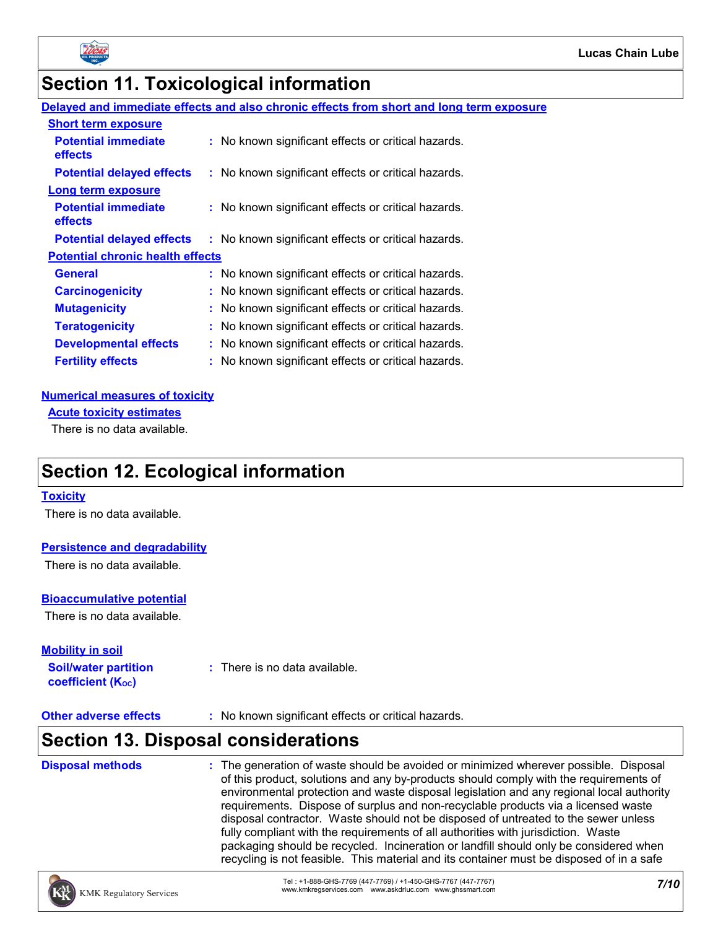

## **Section 11. Toxicological information**

### **Delayed and immediate effects and also chronic effects from short and long term exposure**

| <b>Short term exposure</b>              |                                                     |
|-----------------------------------------|-----------------------------------------------------|
| <b>Potential immediate</b><br>effects   | : No known significant effects or critical hazards. |
| <b>Potential delayed effects</b>        | : No known significant effects or critical hazards. |
| <b>Long term exposure</b>               |                                                     |
| <b>Potential immediate</b><br>effects   | : No known significant effects or critical hazards. |
| <b>Potential delayed effects</b>        | : No known significant effects or critical hazards. |
| <b>Potential chronic health effects</b> |                                                     |
| <b>General</b>                          | : No known significant effects or critical hazards. |
| <b>Carcinogenicity</b>                  | : No known significant effects or critical hazards. |
| <b>Mutagenicity</b>                     | : No known significant effects or critical hazards. |
| <b>Teratogenicity</b>                   | : No known significant effects or critical hazards. |
| <b>Developmental effects</b>            | : No known significant effects or critical hazards. |
| <b>Fertility effects</b>                | : No known significant effects or critical hazards. |

#### **Numerical measures of toxicity**

**Acute toxicity estimates**

There is no data available.

### **Section 12. Ecological information**

#### **Toxicity**

There is no data available.

#### **Persistence and degradability**

There is no data available.

#### **Bioaccumulative potential**

There is no data available.

| <b>Mobility in soil</b>     |                                          |
|-----------------------------|------------------------------------------|
| <b>Soil/water partition</b> | $\therefore$ There is no data available. |
| <b>coefficient (Koc)</b>    |                                          |

**Other adverse effects** : No known significant effects or critical hazards.

## **Section 13. Disposal considerations**

| <b>Disposal methods</b> | : The generation of waste should be avoided or minimized wherever possible. Disposal<br>of this product, solutions and any by-products should comply with the requirements of<br>environmental protection and waste disposal legislation and any regional local authority<br>requirements. Dispose of surplus and non-recyclable products via a licensed waste<br>disposal contractor. Waste should not be disposed of untreated to the sewer unless<br>fully compliant with the requirements of all authorities with jurisdiction. Waste<br>packaging should be recycled. Incineration or landfill should only be considered when |
|-------------------------|------------------------------------------------------------------------------------------------------------------------------------------------------------------------------------------------------------------------------------------------------------------------------------------------------------------------------------------------------------------------------------------------------------------------------------------------------------------------------------------------------------------------------------------------------------------------------------------------------------------------------------|
|                         | recycling is not feasible. This material and its container must be disposed of in a safe                                                                                                                                                                                                                                                                                                                                                                                                                                                                                                                                           |

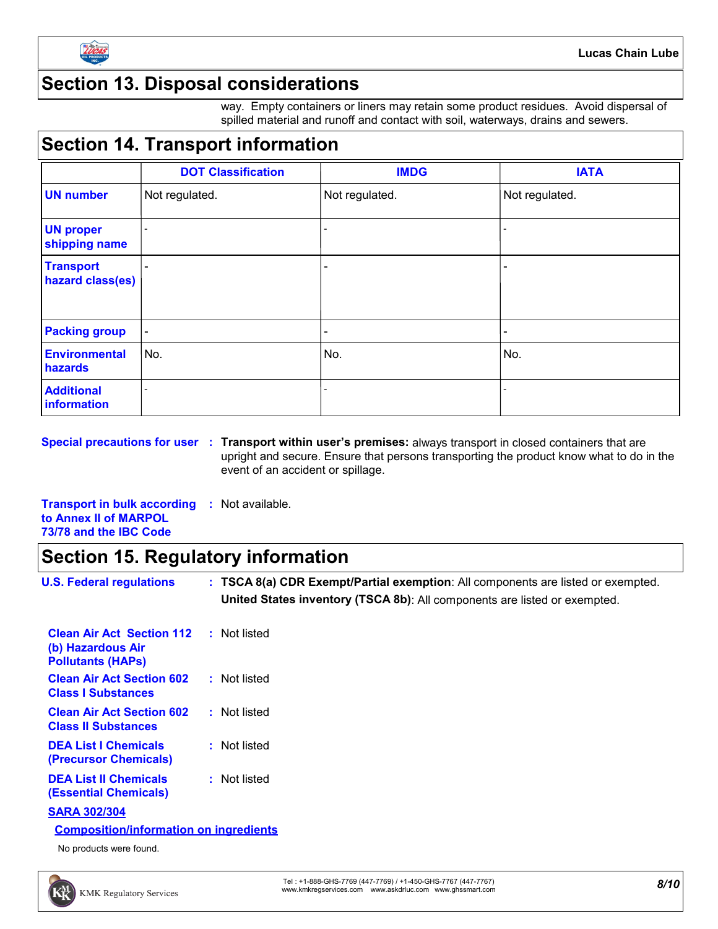

### **Section 13. Disposal considerations**

way. Empty containers or liners may retain some product residues. Avoid dispersal of spilled material and runoff and contact with soil, waterways, drains and sewers.

## **Section 14. Transport information**

|                                      | <b>DOT Classification</b> | <b>IMDG</b>              | <b>IATA</b>     |
|--------------------------------------|---------------------------|--------------------------|-----------------|
| <b>UN number</b>                     | Not regulated.            | Not regulated.           | Not regulated.  |
| <b>UN proper</b><br>shipping name    |                           |                          |                 |
| <b>Transport</b><br>hazard class(es) |                           |                          |                 |
| <b>Packing group</b>                 | $\overline{\phantom{a}}$  | $\overline{\phantom{0}}$ | $\qquad \qquad$ |
| <b>Environmental</b><br>hazards      | No.                       | No.                      | No.             |
| <b>Additional</b><br>information     |                           |                          |                 |

**Special precautions for user Transport within user's premises:** always transport in closed containers that are **:** upright and secure. Ensure that persons transporting the product know what to do in the event of an accident or spillage.

**Transport in bulk according :** Not available. **to Annex II of MARPOL 73/78 and the IBC Code**

### **Section 15. Regulatory information**

| <b>U.S. Federal regulations</b>                                                   | : TSCA 8(a) CDR Exempt/Partial exemption: All components are listed or exempted.<br>United States inventory (TSCA 8b): All components are listed or exempted. |
|-----------------------------------------------------------------------------------|---------------------------------------------------------------------------------------------------------------------------------------------------------------|
| <b>Clean Air Act Section 112</b><br>(b) Hazardous Air<br><b>Pollutants (HAPs)</b> | : Not listed                                                                                                                                                  |
| <b>Clean Air Act Section 602</b><br><b>Class I Substances</b>                     | : Not listed                                                                                                                                                  |
| <b>Clean Air Act Section 602</b><br><b>Class II Substances</b>                    | : Not listed                                                                                                                                                  |
| <b>DEA List I Chemicals</b><br>(Precursor Chemicals)                              | : Not listed                                                                                                                                                  |
| <b>DEA List II Chemicals</b><br><b>(Essential Chemicals)</b>                      | : Not listed                                                                                                                                                  |
| <b>SARA 302/304</b>                                                               |                                                                                                                                                               |
| <b>Composition/information on ingredients</b>                                     |                                                                                                                                                               |
| No products were found.                                                           |                                                                                                                                                               |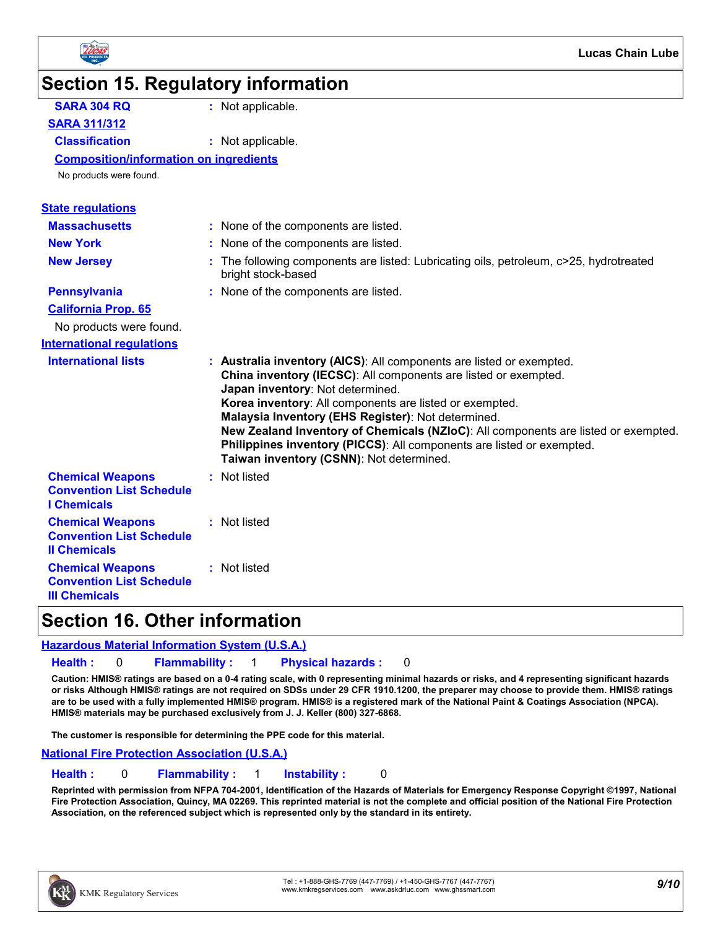

# **Section 15. Regulatory information**

| <b>SARA 304 RQ</b>                                                                 | : Not applicable.                                                                                                                                                                                                                                                                                                                                                                                                                                                                                       |
|------------------------------------------------------------------------------------|---------------------------------------------------------------------------------------------------------------------------------------------------------------------------------------------------------------------------------------------------------------------------------------------------------------------------------------------------------------------------------------------------------------------------------------------------------------------------------------------------------|
| <b>SARA 311/312</b>                                                                |                                                                                                                                                                                                                                                                                                                                                                                                                                                                                                         |
| <b>Classification</b>                                                              | : Not applicable.                                                                                                                                                                                                                                                                                                                                                                                                                                                                                       |
| <b>Composition/information on ingredients</b>                                      |                                                                                                                                                                                                                                                                                                                                                                                                                                                                                                         |
| No products were found.                                                            |                                                                                                                                                                                                                                                                                                                                                                                                                                                                                                         |
| <b>State regulations</b>                                                           |                                                                                                                                                                                                                                                                                                                                                                                                                                                                                                         |
| <b>Massachusetts</b>                                                               | : None of the components are listed.                                                                                                                                                                                                                                                                                                                                                                                                                                                                    |
| <b>New York</b>                                                                    | : None of the components are listed.                                                                                                                                                                                                                                                                                                                                                                                                                                                                    |
| <b>New Jersey</b>                                                                  | : The following components are listed: Lubricating oils, petroleum, c>25, hydrotreated<br>bright stock-based                                                                                                                                                                                                                                                                                                                                                                                            |
| <b>Pennsylvania</b>                                                                | : None of the components are listed.                                                                                                                                                                                                                                                                                                                                                                                                                                                                    |
| <b>California Prop. 65</b>                                                         |                                                                                                                                                                                                                                                                                                                                                                                                                                                                                                         |
| No products were found.                                                            |                                                                                                                                                                                                                                                                                                                                                                                                                                                                                                         |
| <b>International requlations</b>                                                   |                                                                                                                                                                                                                                                                                                                                                                                                                                                                                                         |
| <b>International lists</b>                                                         | : Australia inventory (AICS): All components are listed or exempted.<br>China inventory (IECSC): All components are listed or exempted.<br>Japan inventory: Not determined.<br>Korea inventory: All components are listed or exempted.<br>Malaysia Inventory (EHS Register): Not determined.<br>New Zealand Inventory of Chemicals (NZIoC): All components are listed or exempted.<br>Philippines inventory (PICCS): All components are listed or exempted.<br>Taiwan inventory (CSNN): Not determined. |
| <b>Chemical Weapons</b><br><b>Convention List Schedule</b><br><b>I</b> Chemicals   | : Not listed                                                                                                                                                                                                                                                                                                                                                                                                                                                                                            |
| <b>Chemical Weapons</b><br><b>Convention List Schedule</b><br><b>Il Chemicals</b>  | : Not listed                                                                                                                                                                                                                                                                                                                                                                                                                                                                                            |
| <b>Chemical Weapons</b><br><b>Convention List Schedule</b><br><b>III Chemicals</b> | : Not listed                                                                                                                                                                                                                                                                                                                                                                                                                                                                                            |

### **Section 16. Other information**

#### **Hazardous Material Information System (U.S.A.)**

**Health :** 0 **Flammability :** 1 **Physical hazards :** 0

**Caution: HMIS® ratings are based on a 0-4 rating scale, with 0 representing minimal hazards or risks, and 4 representing significant hazards or risks Although HMIS® ratings are not required on SDSs under 29 CFR 1910.1200, the preparer may choose to provide them. HMIS® ratings are to be used with a fully implemented HMIS® program. HMIS® is a registered mark of the National Paint & Coatings Association (NPCA). HMIS® materials may be purchased exclusively from J. J. Keller (800) 327-6868.**

**The customer is responsible for determining the PPE code for this material.**

**National Fire Protection Association (U.S.A.)**

**Health :** 0 **Flammability :** 1 **Instability :** 0

**Reprinted with permission from NFPA 704-2001, Identification of the Hazards of Materials for Emergency Response Copyright ©1997, National Fire Protection Association, Quincy, MA 02269. This reprinted material is not the complete and official position of the National Fire Protection Association, on the referenced subject which is represented only by the standard in its entirety.**